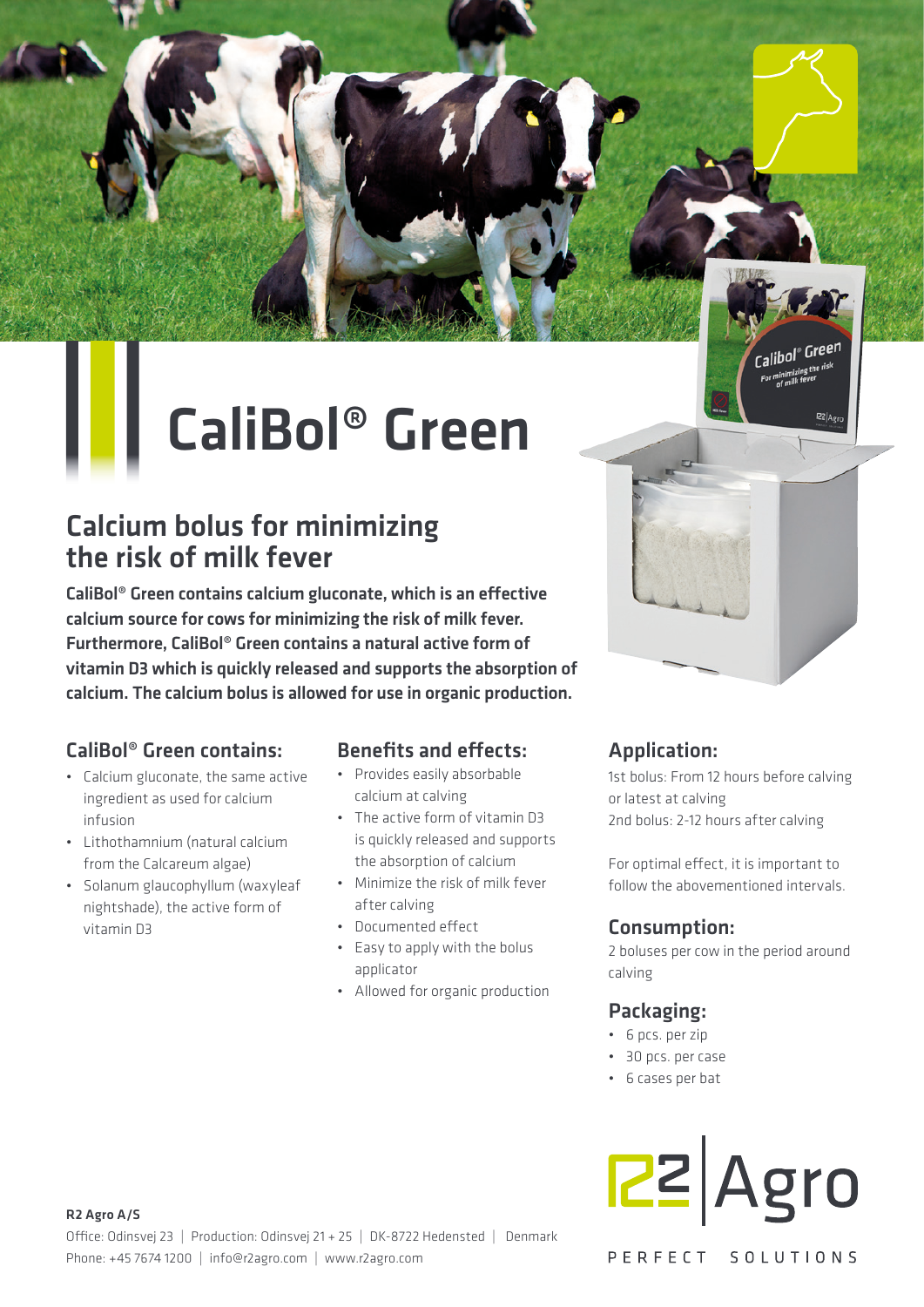## CaliBol® Green

#### Calcium bolus for minimizing the risk of milk fever

CaliBol® Green contains calcium gluconate, which is an effective calcium source for cows for minimizing the risk of milk fever. Furthermore, CaliBol® Green contains a natural active form of vitamin D3 which is quickly released and supports the absorption of calcium. The calcium bolus is allowed for use in organic production.

#### CaliBol® Green contains:

Ш

- Calcium gluconate, the same active ingredient as used for calcium infusion
- Lithothamnium (natural calcium from the Calcareum algae)
- Solanum glaucophyllum (waxyleaf nightshade), the active form of vitamin D3

#### **Benefits and effects:**

- Provides easily absorbable calcium at calving
- The active form of vitamin D3 is quickly released and supports the absorption of calcium
- Minimize the risk of milk fever after calving
- Documented effect
- Easy to apply with the bolus applicator
- Allowed for organic production

#### Application:

1st bolus: From 12 hours before calving or latest at calving 2nd bolus: 2-12 hours after calving

Calibol<sup>®</sup> Green **allDUI**<br>For minimizing the ris<br>for minik fever

 $Rz|_{\Delta\alpha}$ 

For optimal effect, it is important to follow the abovementioned intervals.

#### Consumption:

2 boluses per cow in the period around calving

#### Packaging:

- 6 pcs. per zip
- 30 pcs. per case
- 6 cases per bat

# $R2$  Agro

PERFECT SOLUTIONS